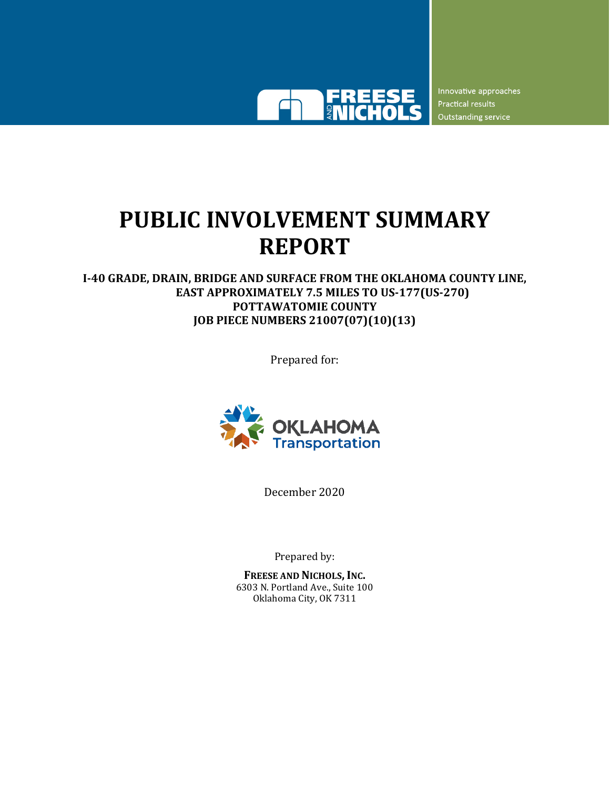

Innovative approaches Practical results Outstanding service

# **PUBLIC INVOLVEMENT SUMMARY REPORT**

# **I-40 GRADE, DRAIN, BRIDGE AND SURFACE FROM THE OKLAHOMA COUNTY LINE, EAST APPROXIMATELY 7.5 MILES TO US-177(US-270) POTTAWATOMIE COUNTY JOB PIECE NUMBERS 21007(07)(10)(13)**

Prepared for:



December 2020

Prepared by:

**FREESE AND NICHOLS,INC.** 6303 N. Portland Ave., Suite 100 Oklahoma City, OK 7311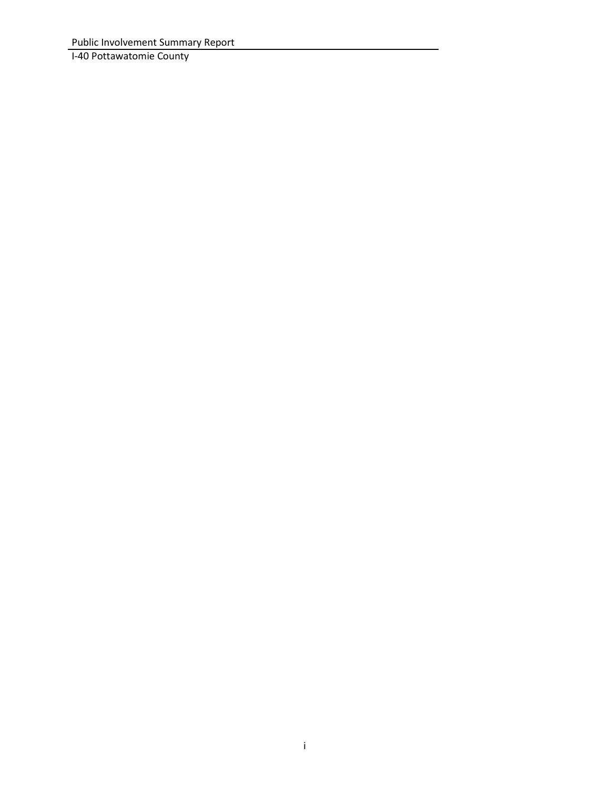Public Involvement Summary Report

I-40 Pottawatomie County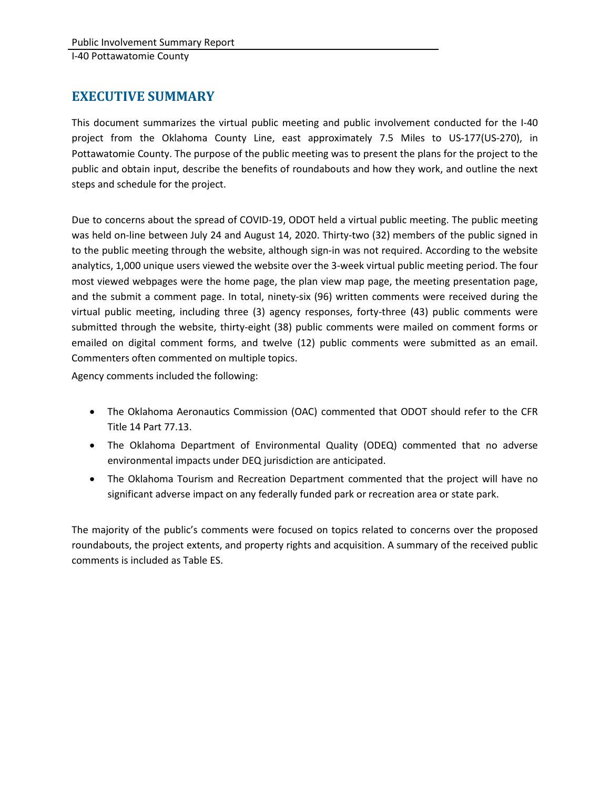# **EXECUTIVE SUMMARY**

This document summarizes the virtual public meeting and public involvement conducted for the I-40 project from the Oklahoma County Line, east approximately 7.5 Miles to US-177(US-270), in Pottawatomie County. The purpose of the public meeting was to present the plans for the project to the public and obtain input, describe the benefits of roundabouts and how they work, and outline the next steps and schedule for the project.

Due to concerns about the spread of COVID-19, ODOT held a virtual public meeting. The public meeting was held on-line between July 24 and August 14, 2020. Thirty-two (32) members of the public signed in to the public meeting through the website, although sign-in was not required. According to the website analytics, 1,000 unique users viewed the website over the 3-week virtual public meeting period. The four most viewed webpages were the home page, the plan view map page, the meeting presentation page, and the submit a comment page. In total, ninety-six (96) written comments were received during the virtual public meeting, including three (3) agency responses, forty-three (43) public comments were submitted through the website, thirty-eight (38) public comments were mailed on comment forms or emailed on digital comment forms, and twelve (12) public comments were submitted as an email. Commenters often commented on multiple topics.

Agency comments included the following:

- The Oklahoma Aeronautics Commission (OAC) commented that ODOT should refer to the CFR Title 14 Part 77.13.
- The Oklahoma Department of Environmental Quality (ODEQ) commented that no adverse environmental impacts under DEQ jurisdiction are anticipated.
- The Oklahoma Tourism and Recreation Department commented that the project will have no significant adverse impact on any federally funded park or recreation area or state park.

The majority of the public's comments were focused on topics related to concerns over the proposed roundabouts, the project extents, and property rights and acquisition. A summary of the received public comments is included as Table ES.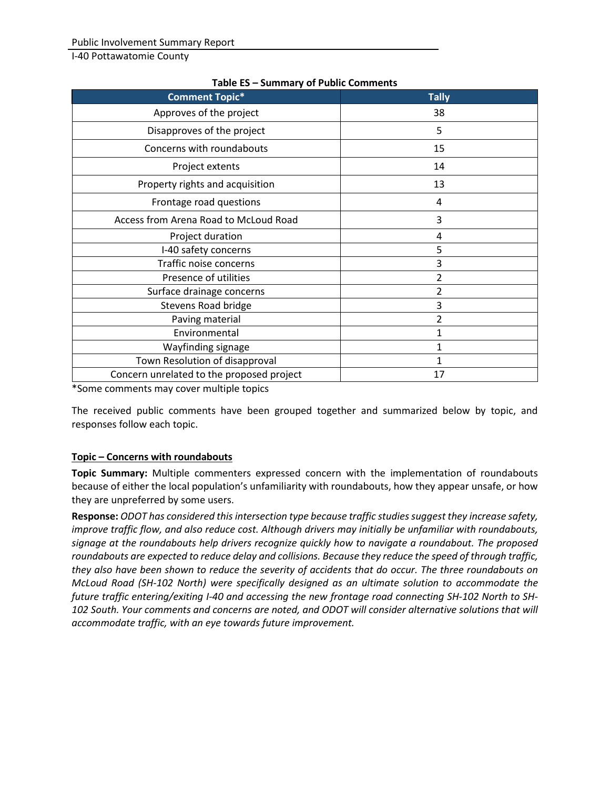| <b>Comment Topic*</b>                     | <b>Tally</b> |
|-------------------------------------------|--------------|
| Approves of the project                   | 38           |
| Disapproves of the project                | 5            |
| Concerns with roundabouts                 | 15           |
| Project extents                           | 14           |
| Property rights and acquisition           | 13           |
| Frontage road questions                   | 4            |
| Access from Arena Road to McLoud Road     | 3            |
| Project duration                          | 4            |
| I-40 safety concerns                      | 5            |
| Traffic noise concerns                    | 3            |
| Presence of utilities                     | 2            |
| Surface drainage concerns                 | 2            |
| <b>Stevens Road bridge</b>                | 3            |
| Paving material                           | 2            |
| Environmental                             | 1            |
| Wayfinding signage                        | 1            |
| Town Resolution of disapproval            |              |
| Concern unrelated to the proposed project | 17           |

#### **Table ES – Summary of Public Comments**

\*Some comments may cover multiple topics

The received public comments have been grouped together and summarized below by topic, and responses follow each topic.

# **Topic – Concerns with roundabouts**

**Topic Summary:** Multiple commenters expressed concern with the implementation of roundabouts because of either the local population's unfamiliarity with roundabouts, how they appear unsafe, or how they are unpreferred by some users.

**Response:** *ODOT has considered this intersection type because traffic studies suggest they increase safety, improve traffic flow, and also reduce cost. Although drivers may initially be unfamiliar with roundabouts, signage at the roundabouts help drivers recognize quickly how to navigate a roundabout. The proposed roundabouts are expected to reduce delay and collisions. Because they reduce the speed of through traffic, they also have been shown to reduce the severity of accidents that do occur. The three roundabouts on McLoud Road (SH-102 North) were specifically designed as an ultimate solution to accommodate the future traffic entering/exiting I-40 and accessing the new frontage road connecting SH-102 North to SH-102 South. Your comments and concerns are noted, and ODOT will consider alternative solutions that will accommodate traffic, with an eye towards future improvement.*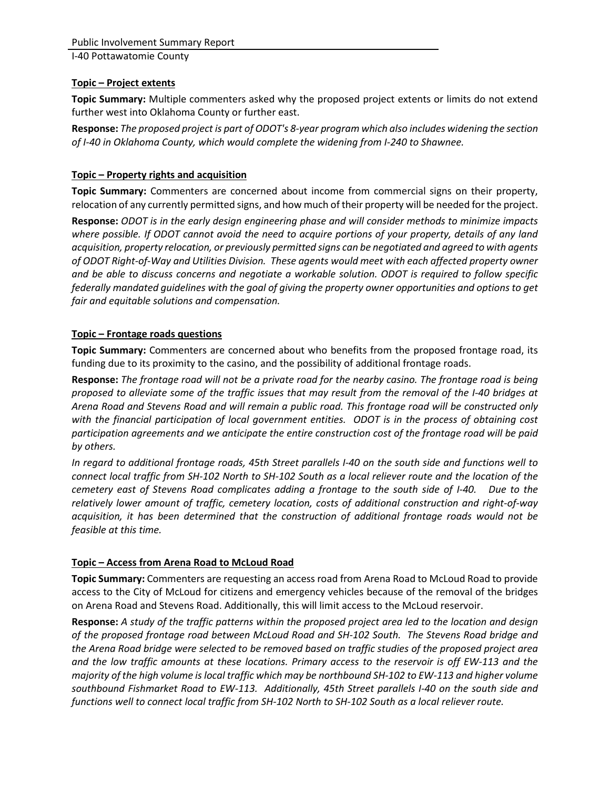### **Topic – Project extents**

**Topic Summary:** Multiple commenters asked why the proposed project extents or limits do not extend further west into Oklahoma County or further east.

**Response:** *The proposed project is part of ODOT's 8-year program which also includes widening the section of I-40 in Oklahoma County, which would complete the widening from I-240 to Shawnee.* 

## **Topic – Property rights and acquisition**

**Topic Summary:** Commenters are concerned about income from commercial signs on their property, relocation of any currently permitted signs, and how much of their property will be needed for the project.

**Response:** *ODOT is in the early design engineering phase and will consider methods to minimize impacts where possible. If ODOT cannot avoid the need to acquire portions of your property, details of any land acquisition, property relocation, or previously permitted signs can be negotiated and agreed to with agents of ODOT Right-of-Way and Utilities Division. These agents would meet with each affected property owner and be able to discuss concerns and negotiate a workable solution. ODOT is required to follow specific federally mandated guidelines with the goal of giving the property owner opportunities and options to get fair and equitable solutions and compensation.* 

### **Topic – Frontage roads questions**

**Topic Summary:** Commenters are concerned about who benefits from the proposed frontage road, its funding due to its proximity to the casino, and the possibility of additional frontage roads.

**Response:** *The frontage road will not be a private road for the nearby casino. The frontage road is being proposed to alleviate some of the traffic issues that may result from the removal of the I-40 bridges at Arena Road and Stevens Road and will remain a public road. This frontage road will be constructed only with the financial participation of local government entities. ODOT is in the process of obtaining cost participation agreements and we anticipate the entire construction cost of the frontage road will be paid by others.*

*In regard to additional frontage roads, 45th Street parallels I-40 on the south side and functions well to connect local traffic from SH-102 North to SH-102 South as a local reliever route and the location of the cemetery east of Stevens Road complicates adding a frontage to the south side of I-40. Due to the relatively lower amount of traffic, cemetery location, costs of additional construction and right-of-way acquisition, it has been determined that the construction of additional frontage roads would not be feasible at this time.*

# **Topic – Access from Arena Road to McLoud Road**

**Topic Summary:** Commenters are requesting an access road from Arena Road to McLoud Road to provide access to the City of McLoud for citizens and emergency vehicles because of the removal of the bridges on Arena Road and Stevens Road. Additionally, this will limit access to the McLoud reservoir.

**Response:** *A study of the traffic patterns within the proposed project area led to the location and design of the proposed frontage road between McLoud Road and SH-102 South. The Stevens Road bridge and the Arena Road bridge were selected to be removed based on traffic studies of the proposed project area and the low traffic amounts at these locations. Primary access to the reservoir is off EW-113 and the majority of the high volume is local traffic which may be northbound SH-102 to EW-113 and higher volume southbound Fishmarket Road to EW-113. Additionally, 45th Street parallels I-40 on the south side and functions well to connect local traffic from SH-102 North to SH-102 South as a local reliever route.*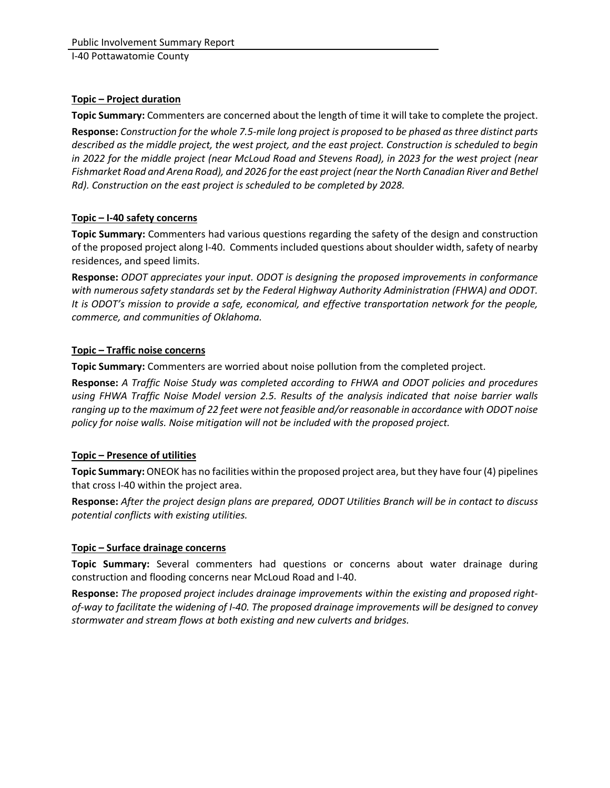#### **Topic – Project duration**

**Topic Summary:** Commenters are concerned about the length of time it will take to complete the project.

**Response:** *Construction for the whole 7.5-mile long project is proposed to be phased as three distinct parts described as the middle project, the west project, and the east project. Construction is scheduled to begin in 2022 for the middle project (near McLoud Road and Stevens Road), in 2023 for the west project (near Fishmarket Road and Arena Road), and 2026 for the east project (near the North Canadian River and Bethel Rd). Construction on the east project is scheduled to be completed by 2028.*

### **Topic – I-40 safety concerns**

**Topic Summary:** Commenters had various questions regarding the safety of the design and construction of the proposed project along I-40. Comments included questions about shoulder width, safety of nearby residences, and speed limits.

**Response:** *ODOT appreciates your input. ODOT is designing the proposed improvements in conformance with numerous safety standards set by the Federal Highway Authority Administration (FHWA) and ODOT. It is ODOT's mission to provide a safe, economical, and effective transportation network for the people, commerce, and communities of Oklahoma.*

# **Topic – Traffic noise concerns**

**Topic Summary:** Commenters are worried about noise pollution from the completed project.

**Response:** *A Traffic Noise Study was completed according to FHWA and ODOT policies and procedures using FHWA Traffic Noise Model version 2.5. Results of the analysis indicated that noise barrier walls ranging up to the maximum of 22 feet were not feasible and/or reasonable in accordance with ODOT noise policy for noise walls. Noise mitigation will not be included with the proposed project.*

# **Topic – Presence of utilities**

**Topic Summary:** ONEOK has no facilities within the proposed project area, but they have four (4) pipelines that cross I-40 within the project area.

**Response:** *After the project design plans are prepared, ODOT Utilities Branch will be in contact to discuss potential conflicts with existing utilities.*

# **Topic – Surface drainage concerns**

**Topic Summary:** Several commenters had questions or concerns about water drainage during construction and flooding concerns near McLoud Road and I-40.

**Response:** *The proposed project includes drainage improvements within the existing and proposed rightof-way to facilitate the widening of I-40. The proposed drainage improvements will be designed to convey stormwater and stream flows at both existing and new culverts and bridges.*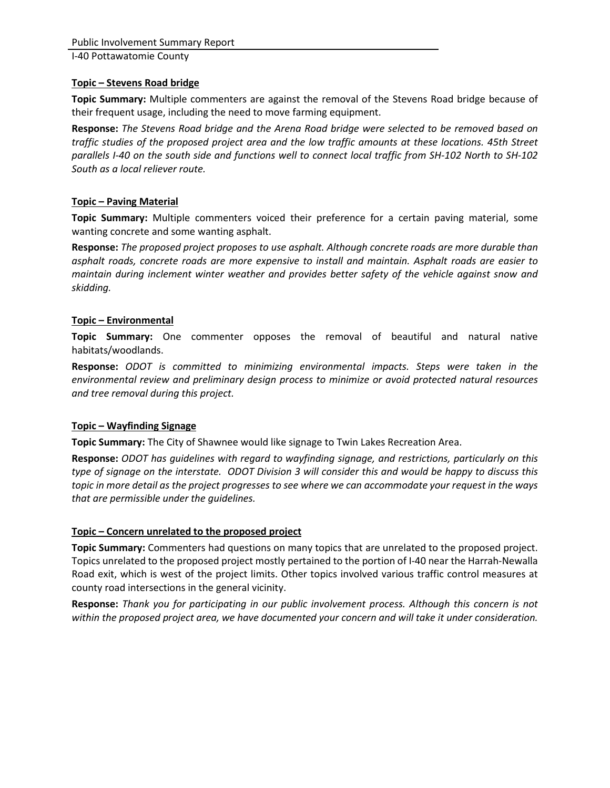#### **Topic – Stevens Road bridge**

**Topic Summary:** Multiple commenters are against the removal of the Stevens Road bridge because of their frequent usage, including the need to move farming equipment.

**Response:** *The Stevens Road bridge and the Arena Road bridge were selected to be removed based on traffic studies of the proposed project area and the low traffic amounts at these locations. 45th Street parallels I-40 on the south side and functions well to connect local traffic from SH-102 North to SH-102 South as a local reliever route.*

#### **Topic – Paving Material**

**Topic Summary:** Multiple commenters voiced their preference for a certain paving material, some wanting concrete and some wanting asphalt.

**Response:** *The proposed project proposes to use asphalt. Although concrete roads are more durable than asphalt roads, concrete roads are more expensive to install and maintain. Asphalt roads are easier to maintain during inclement winter weather and provides better safety of the vehicle against snow and skidding.*

### **Topic – Environmental**

**Topic Summary:** One commenter opposes the removal of beautiful and natural native habitats/woodlands.

**Response:** *ODOT is committed to minimizing environmental impacts. Steps were taken in the environmental review and preliminary design process to minimize or avoid protected natural resources and tree removal during this project.*

#### **Topic – Wayfinding Signage**

**Topic Summary:** The City of Shawnee would like signage to Twin Lakes Recreation Area.

**Response:** *ODOT has guidelines with regard to wayfinding signage, and restrictions, particularly on this type of signage on the interstate. ODOT Division 3 will consider this and would be happy to discuss this topic in more detail as the project progresses to see where we can accommodate your request in the ways that are permissible under the guidelines.*

#### **Topic – Concern unrelated to the proposed project**

**Topic Summary:** Commenters had questions on many topics that are unrelated to the proposed project. Topics unrelated to the proposed project mostly pertained to the portion of I-40 near the Harrah-Newalla Road exit, which is west of the project limits. Other topics involved various traffic control measures at county road intersections in the general vicinity.

**Response:** *Thank you for participating in our public involvement process. Although this concern is not within the proposed project area, we have documented your concern and will take it under consideration.*